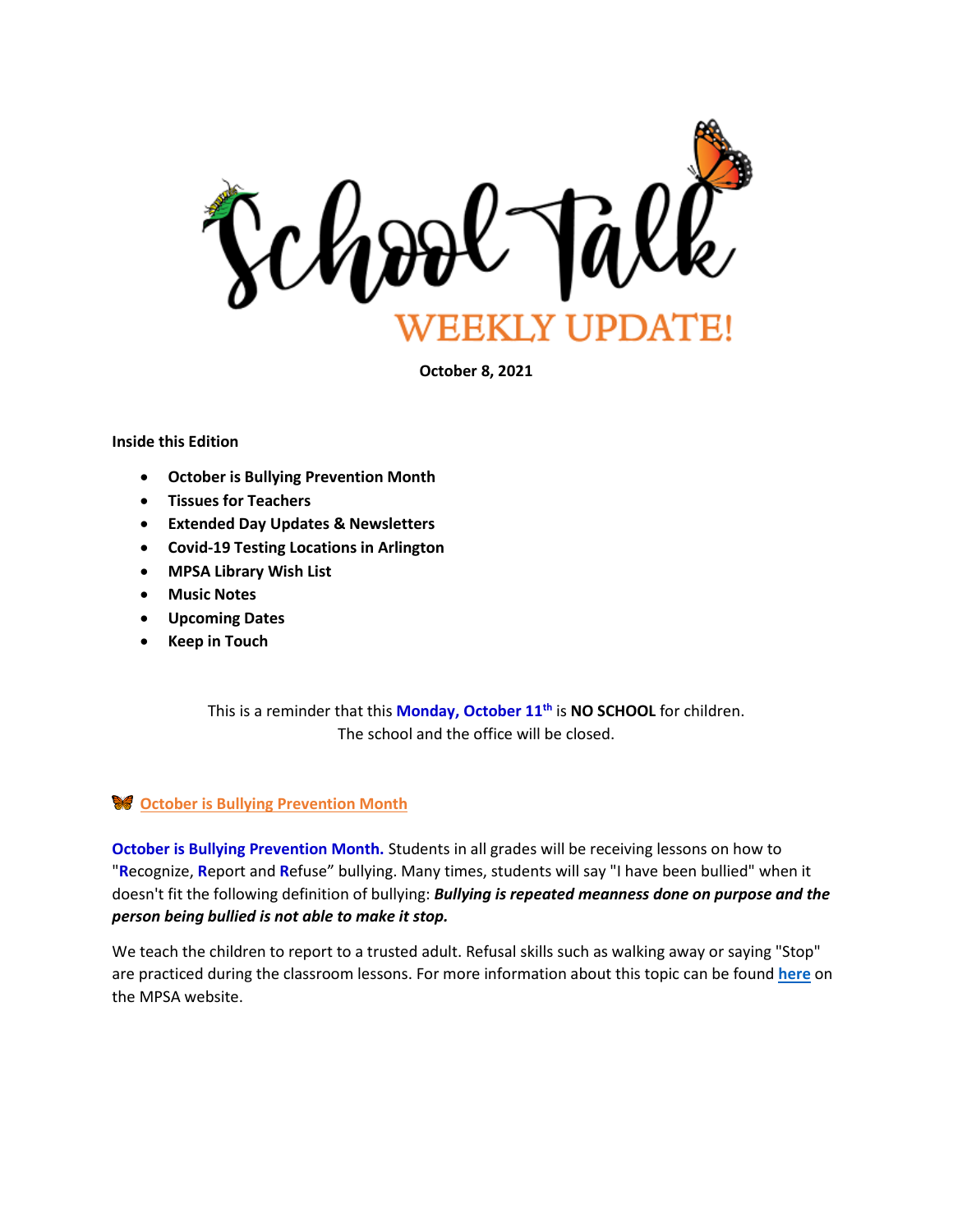

**October 8, 2021**

#### **Inside this Edition**

- **October is Bullying Prevention Month**
- **Tissues for Teachers**
- **Extended Day Updates & Newsletters**
- **Covid-19 Testing Locations in Arlington**
- **MPSA Library Wish List**
- **Music Notes**
- **Upcoming Dates**
- **Keep in Touch**

This is a reminder that this **Monday, October 11th** is **NO SCHOOL** for children. The school and the office will be closed.

# **October is Bullying Prevention Month**

**October is Bullying Prevention Month.** Students in all grades will be receiving lessons on how to "**R**ecognize, **R**eport and **R**efuse" bullying. Many times, students will say "I have been bullied" when it doesn't fit the following definition of bullying: *Bullying is repeated meanness done on purpose and the person being bullied is not able to make it stop.*

We teach the children to report to a trusted adult. Refusal skills such as walking away or saying "Stop" are practiced during the classroom lessons. For more information about this topic can be found **[here](https://montessori.apsva.us/counseling/parent-resources/)** on the MPSA website.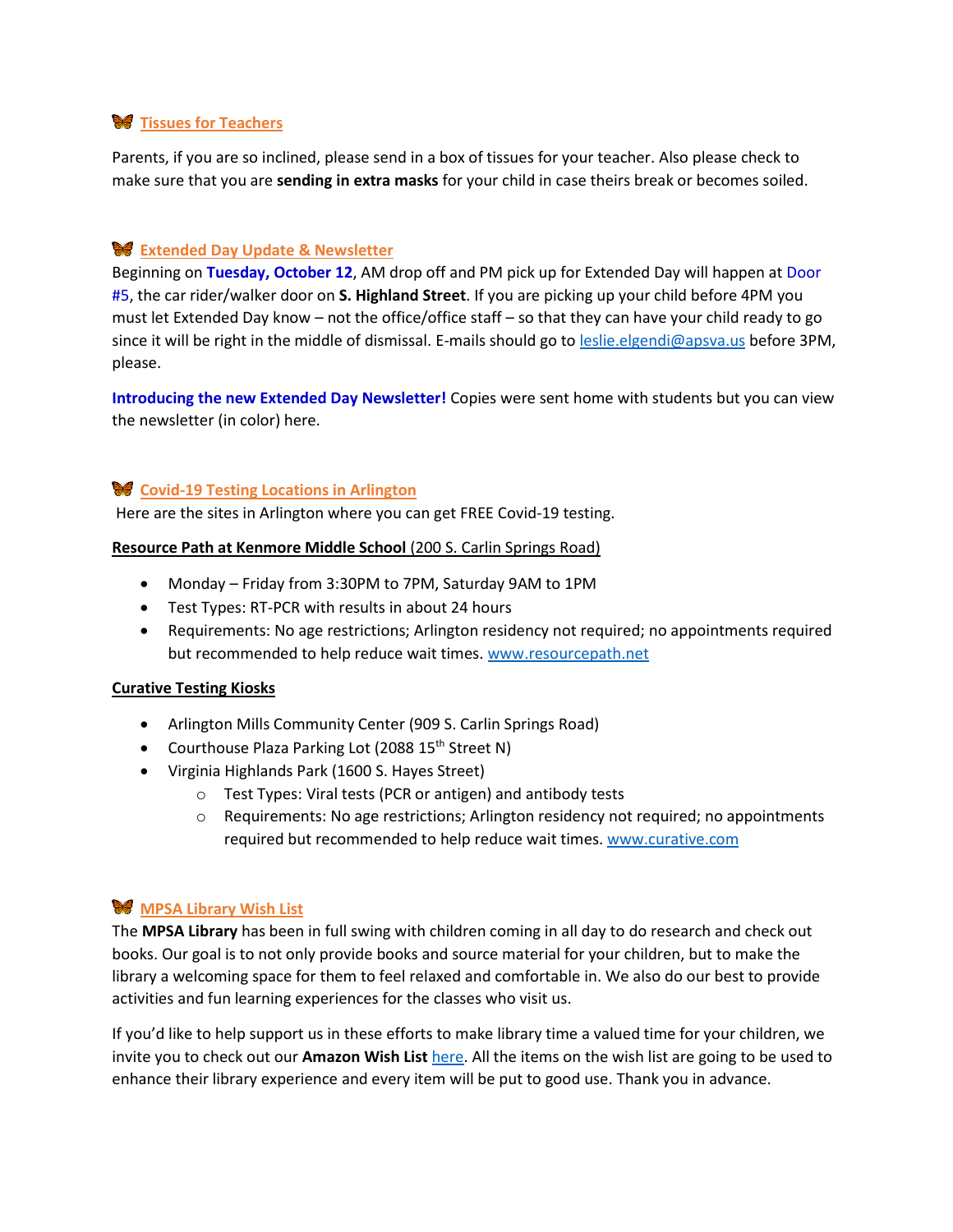# **W** Tissues for Teachers

Parents, if you are so inclined, please send in a box of tissues for your teacher. Also please check to make sure that you are **sending in extra masks** for your child in case theirs break or becomes soiled.

# **Extended Day Update & Newsletter**

Beginning on **Tuesday, October 12**, AM drop off and PM pick up for Extended Day will happen at Door #5, the car rider/walker door on **S. Highland Street**. If you are picking up your child before 4PM you must let Extended Day know – not the office/office staff – so that they can have your child ready to go since it will be right in the middle of dismissal. E-mails should go to **leslie.elgendi@apsva.us** before 3PM, please.

**Introducing the new Extended Day Newsletter!** Copies were sent home with students but you can view the newsletter (in color) here.

### **Covid-19 Testing Locations in Arlington**

Here are the sites in Arlington where you can get FREE Covid-19 testing.

#### **Resource Path at Kenmore Middle School** (200 S. Carlin Springs Road)

- Monday Friday from 3:30PM to 7PM, Saturday 9AM to 1PM
- Test Types: RT-PCR with results in about 24 hours
- Requirements: No age restrictions; Arlington residency not required; no appointments required but recommended to help reduce wait times. [www.resourcepath.net](http://www.resourcepath.net/)

#### **Curative Testing Kiosks**

- Arlington Mills Community Center (909 S. Carlin Springs Road)
- Courthouse Plaza Parking Lot (2088 15<sup>th</sup> Street N)
- Virginia Highlands Park (1600 S. Hayes Street)
	- o Test Types: Viral tests (PCR or antigen) and antibody tests
	- $\circ$  Requirements: No age restrictions; Arlington residency not required; no appointments required but recommended to help reduce wait times. [www.curative.com](http://www.curative.com/)

# **MPSA Library Wish List**

The **MPSA Library** has been in full swing with children coming in all day to do research and check out books. Our goal is to not only provide books and source material for your children, but to make the library a welcoming space for them to feel relaxed and comfortable in. We also do our best to provide activities and fun learning experiences for the classes who visit us.

If you'd like to help support us in these efforts to make library time a valued time for your children, we invite you to check out our **Amazon Wish List** [here.](https://www.amazon.com/hz/wishlist/ls/3IF3SUCAIP9QH?ref_=wl_share) All the items on the wish list are going to be used to enhance their library experience and every item will be put to good use. Thank you in advance.